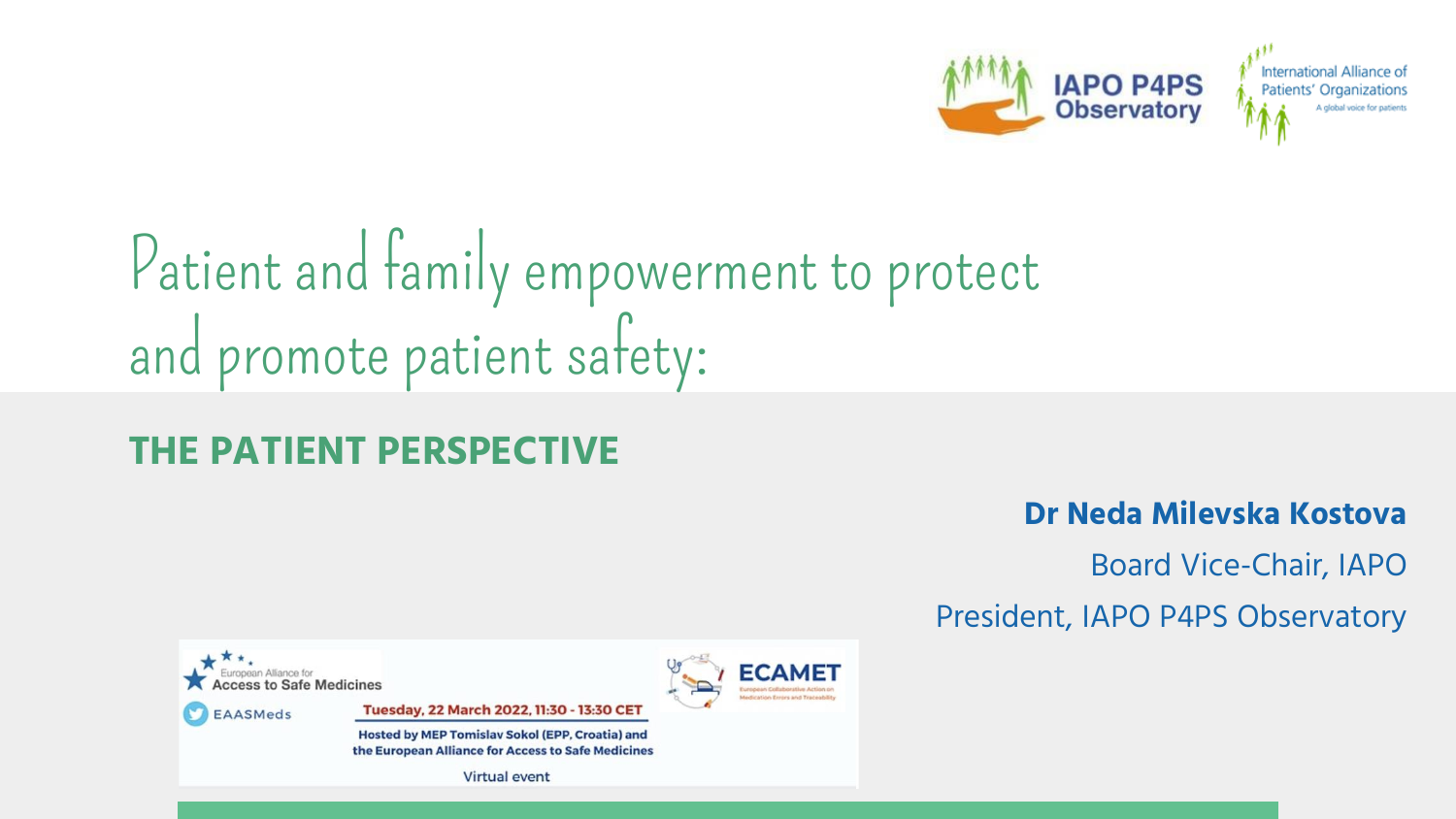

# Patient and family empowerment to protect and promote patient safety:

#### **THE PATIENT PERSPECTIVE**

#### **Dr Neda Milevska Kostova**

Board Vice-Chair, IAPO

President, IAPO P4PS Observatory

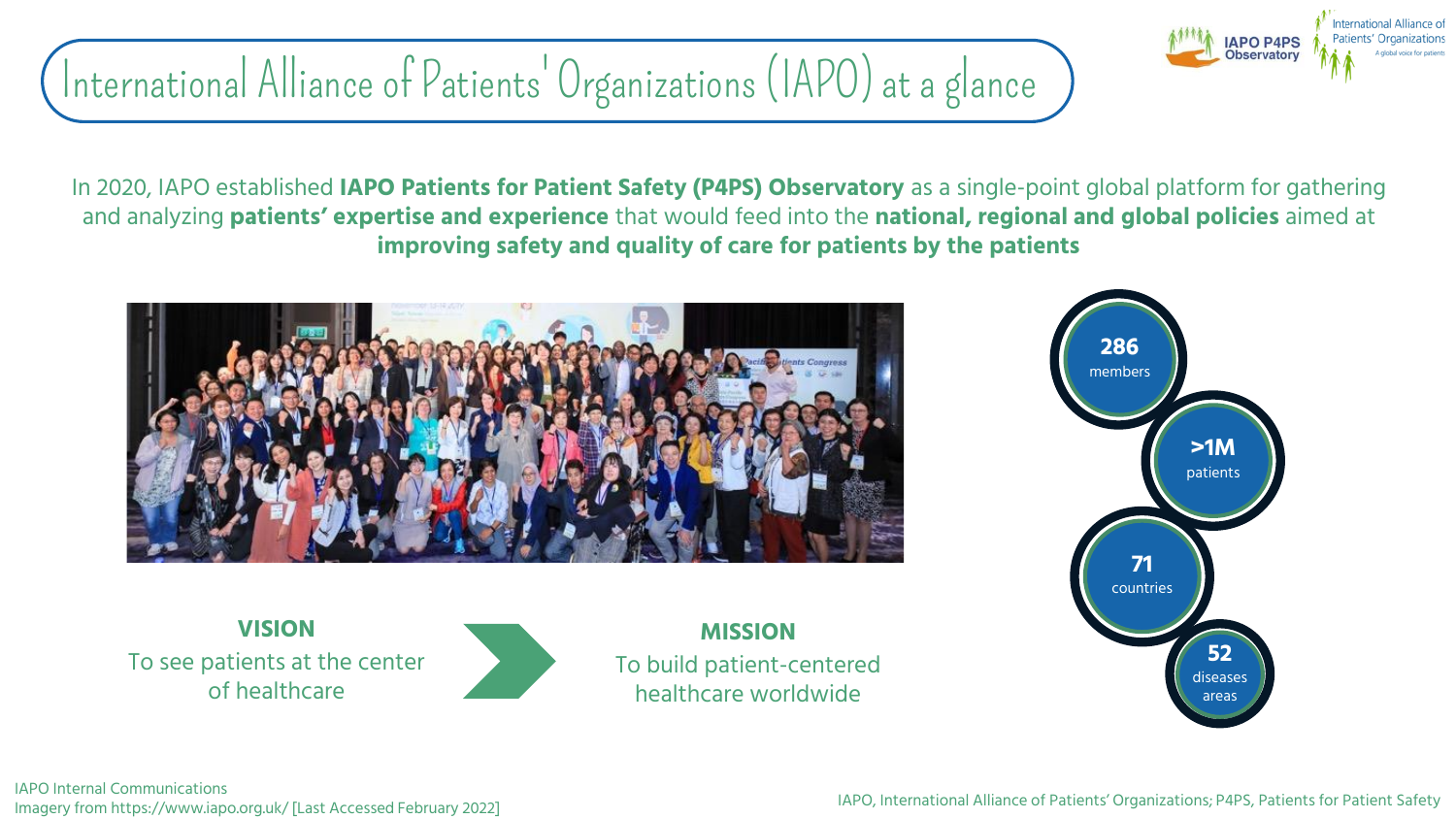## International Alliance of Patients' Organizations (IAPO) at a glance

In 2020, IAPO established **IAPO Patients for Patient Safety (P4PS) Observatory** as a single-point global platform for gathering and analyzing **patients' expertise and experience** that would feed into the **national, regional and global policies** aimed at **improving safety and quality of care for patients by the patients**



**VISION** To see patients at the center of healthcare



**MISSION** To build patient-centered healthcare worldwide



nternational Alliance of atients' Organization

**APO P4PS Observatory**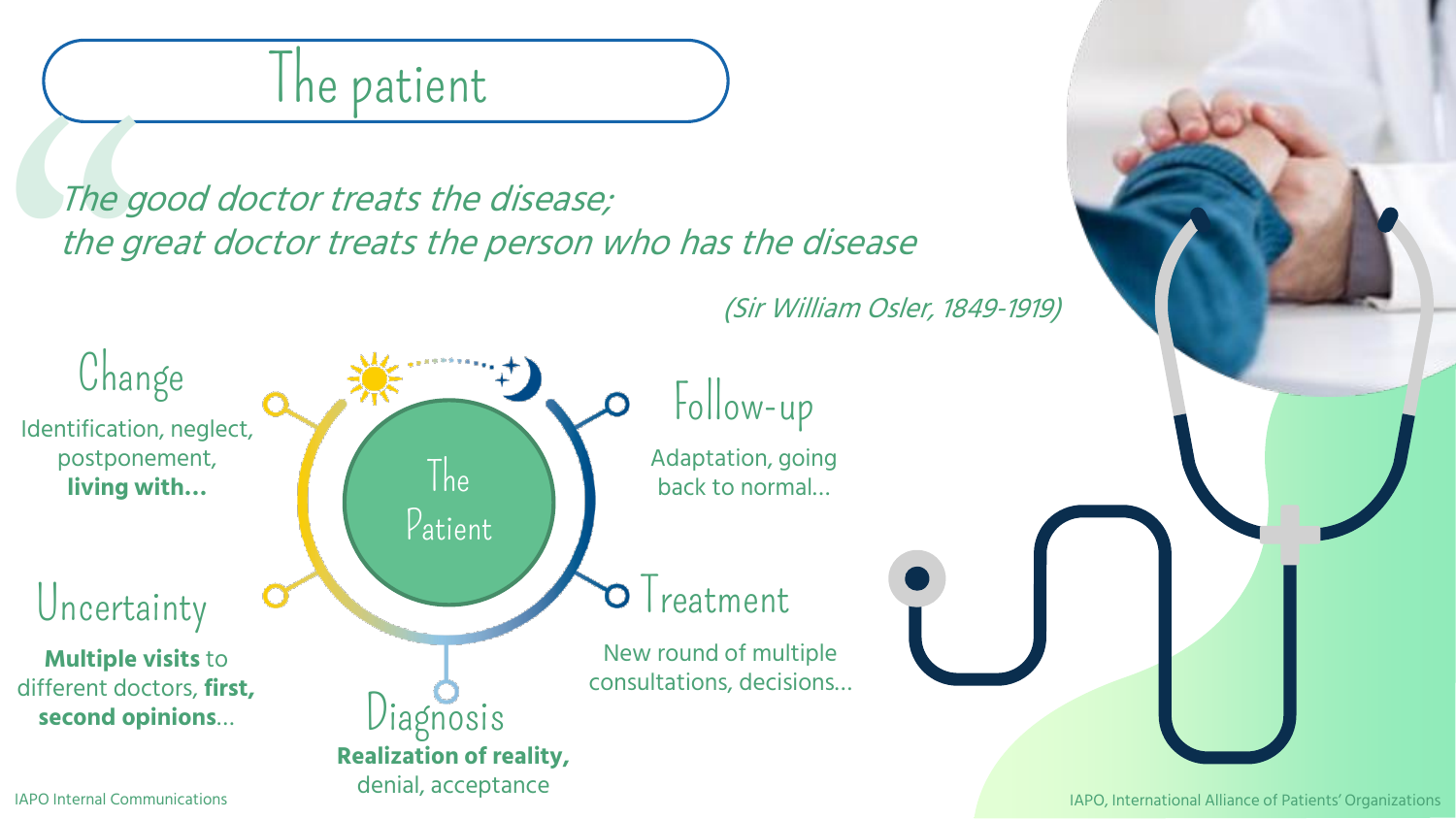### I he patient

The good doctor treats the disease; the great doctor treats the person who has the disease

(Sir William Osler, 1849-1919)

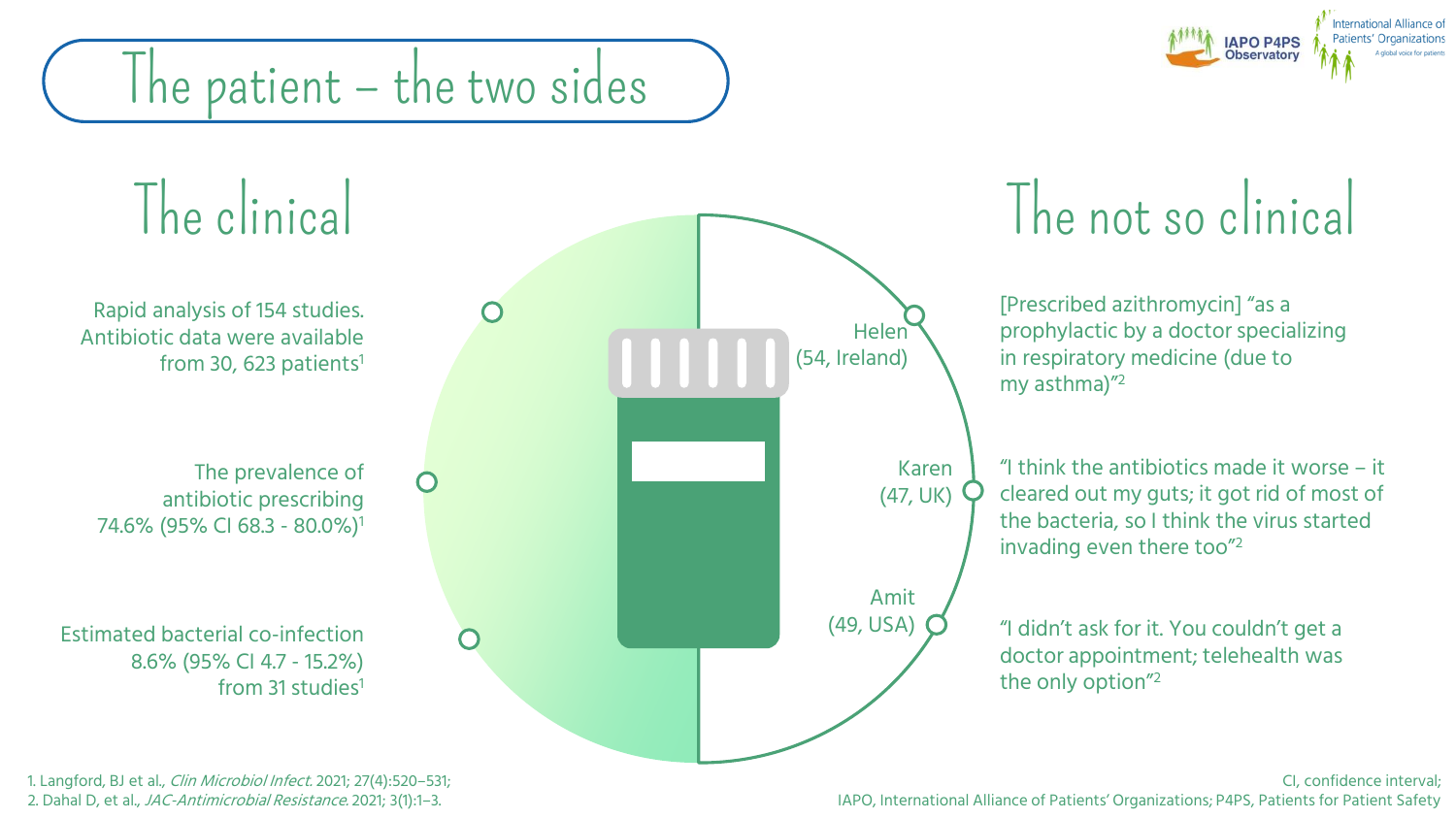## **APO P4PS**

# The patient – the two sides



1. Langford, BJ et al., Clin Microbiol Infect. 2021; 27(4):520–531; 2. Dahal D, et al., JAC-Antimicrobial Resistance. 2021; 3(1):1–3.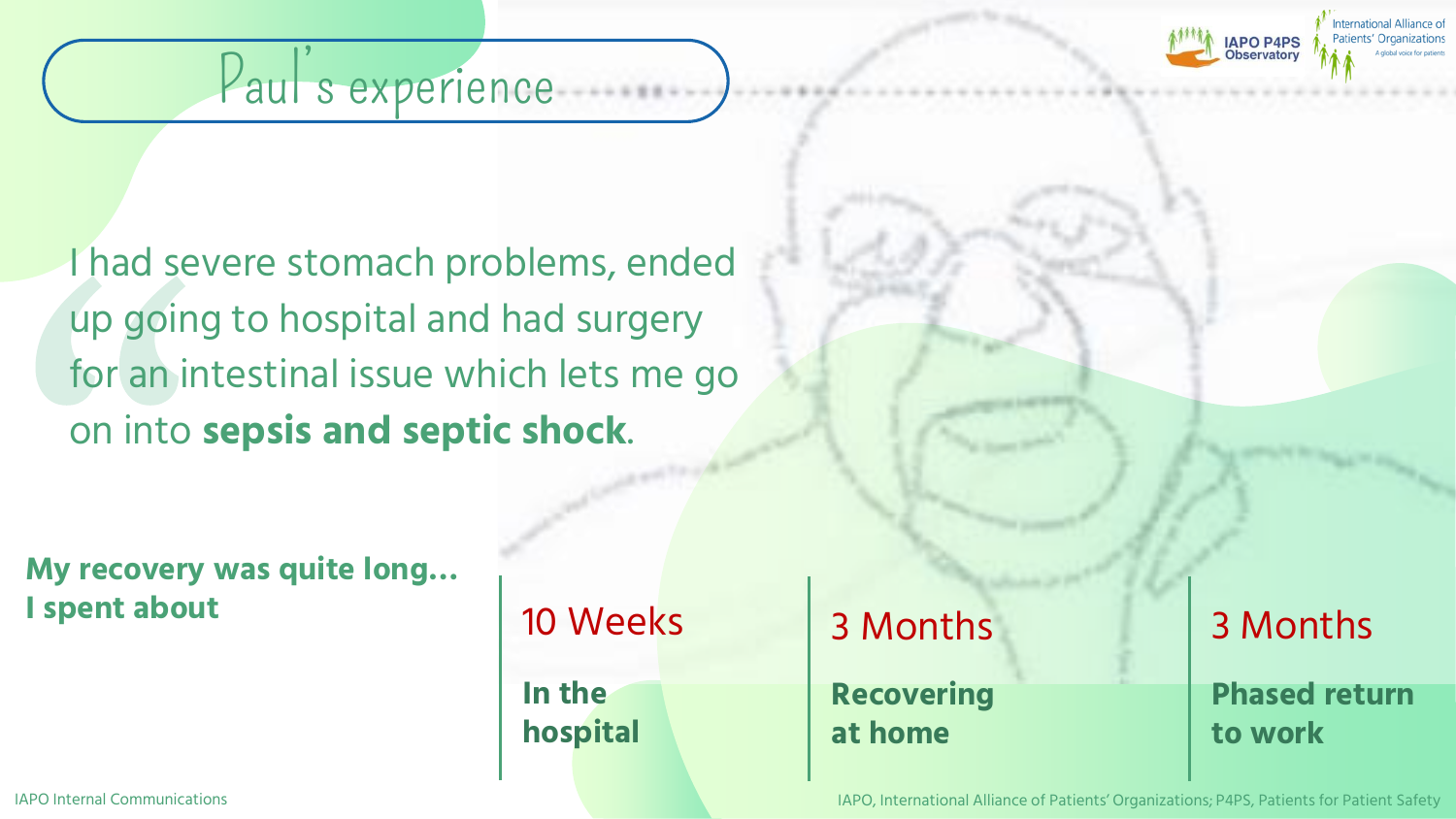

#### Paul s experience

I had severe stomach problems, ended up going to hospital and had surgery for an intestinal issue which lets me go on into **sepsis and septic shock**.

**My recovery was quite long… I spent about 10 Weeks** 

**In the hospital** 3 Months **Recovering at home**

3 Months **Phased return to work**

IAPO Internal Communications IAPO, International Alliance of Patients' Organizations; P4PS, Patients for Patient Safety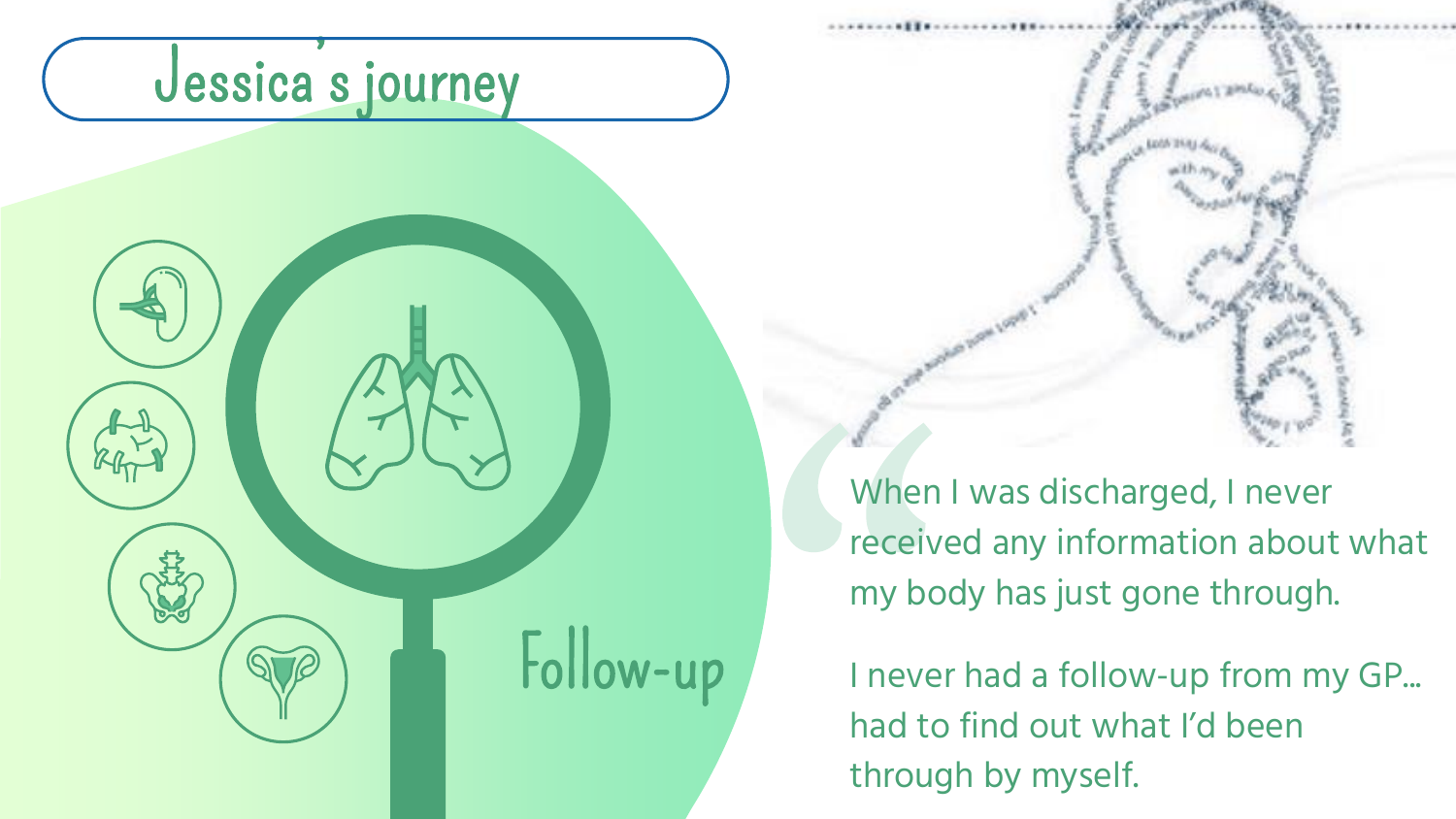





When I was discharged, I never received any information about what my body has just gone through.

I never had a follow-up from my GP... had to find out what I'd been through by myself.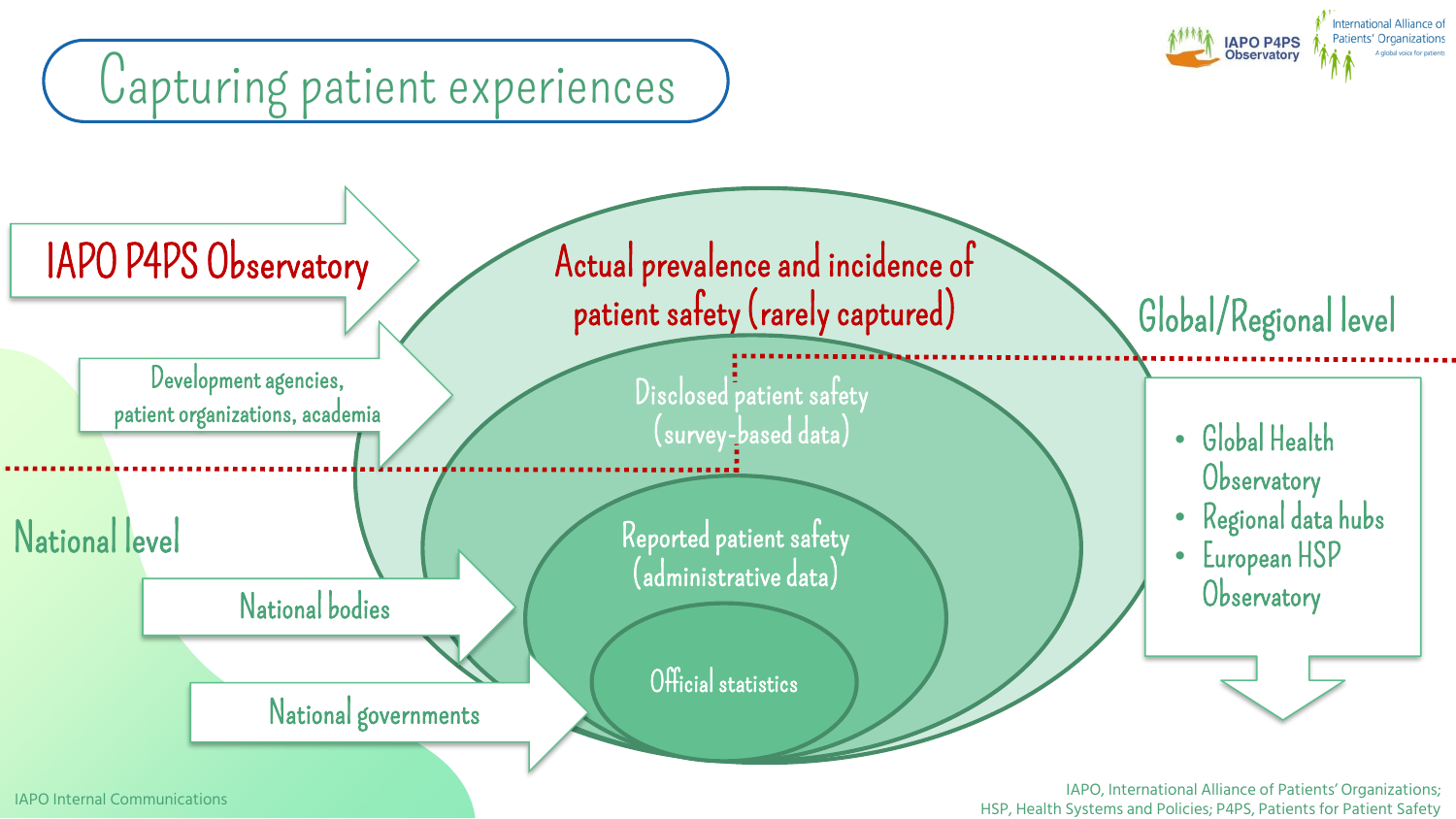

IAPO, International Alliance of Patients' Organizations; IAPO, International Alliance of Patients' Organizations; I<br>HSP, Health Systems and Policies; P4PS, Patients for Patient Safety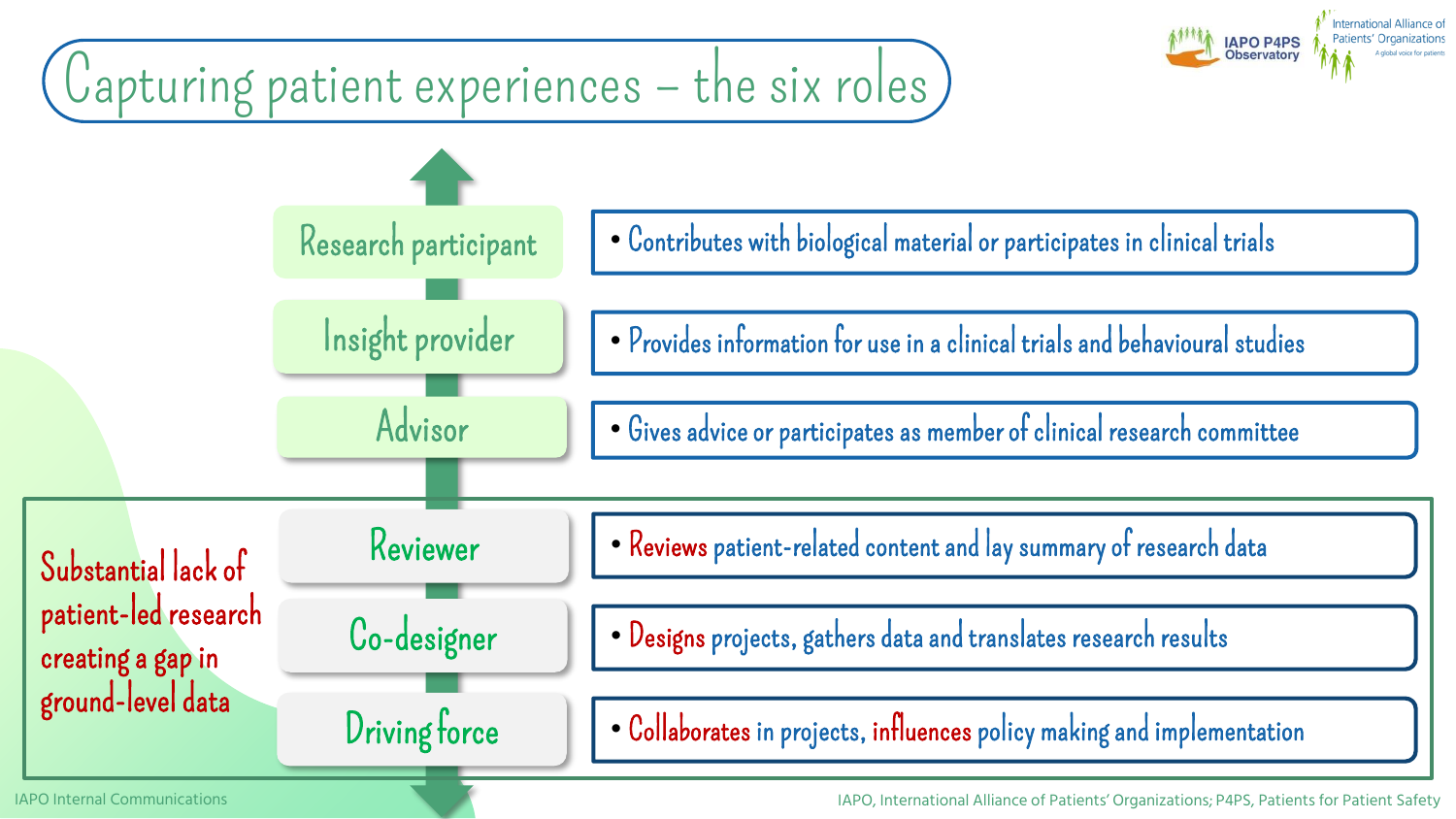

IAPO Internal Communications

IAPO, International Alliance of Patients' Organizations; P4PS, Patients for Patient Safety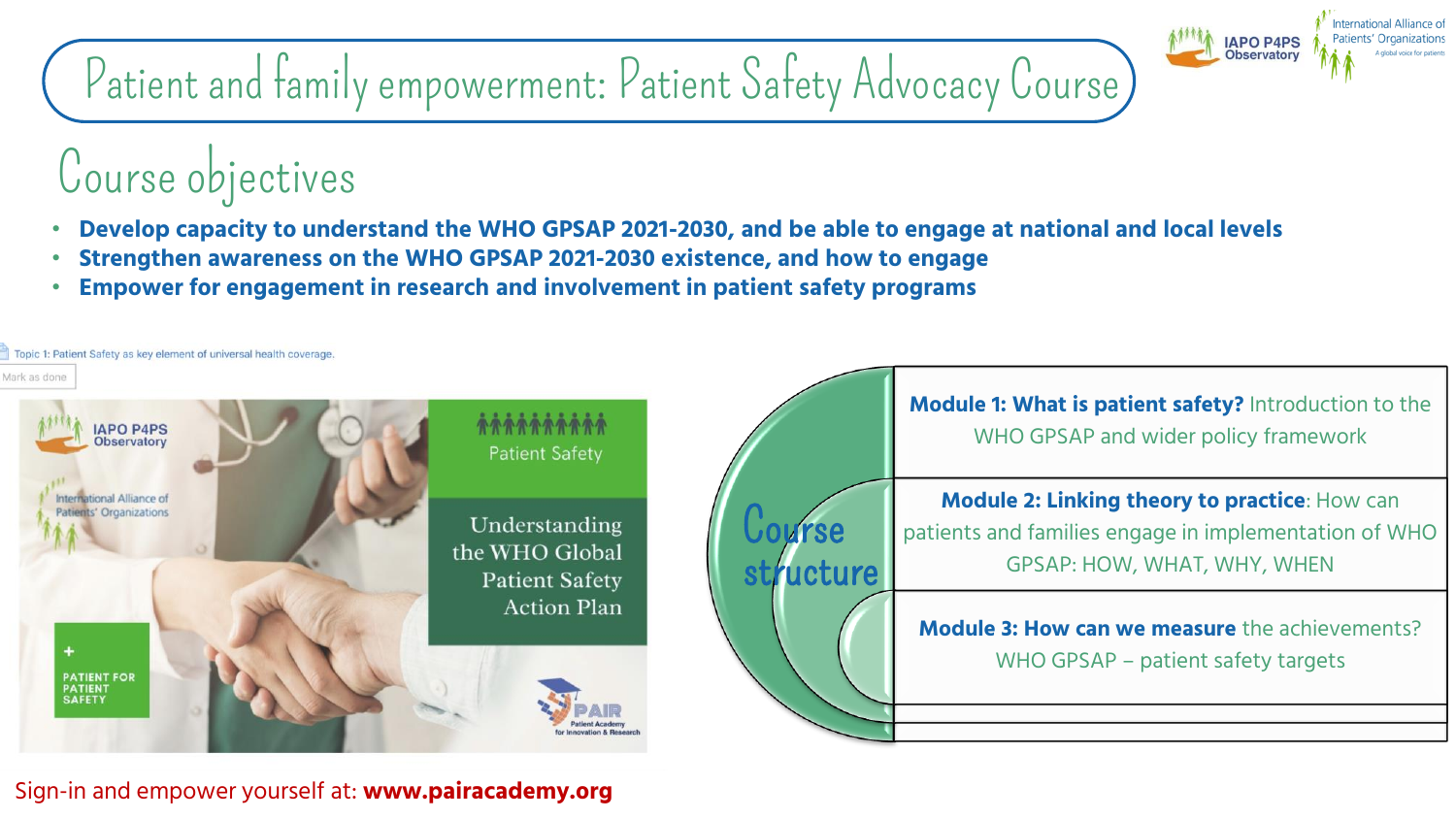## Patient and family empowerment: Patient Safety Advocacy Course

#### Course objectives

- **Develop capacity to understand the WHO GPSAP 2021-2030, and be able to engage at national and local levels**
- **Strengthen awareness on the WHO GPSAP 2021-2030 existence, and how to engage**
- **Empower for engagement in research and involvement in patient safety programs**



ternational Alliance of Patients' Organization

**IAPO P4PS Observatory** 

Sign-in and empower yourself at: **www.pairacademy.org**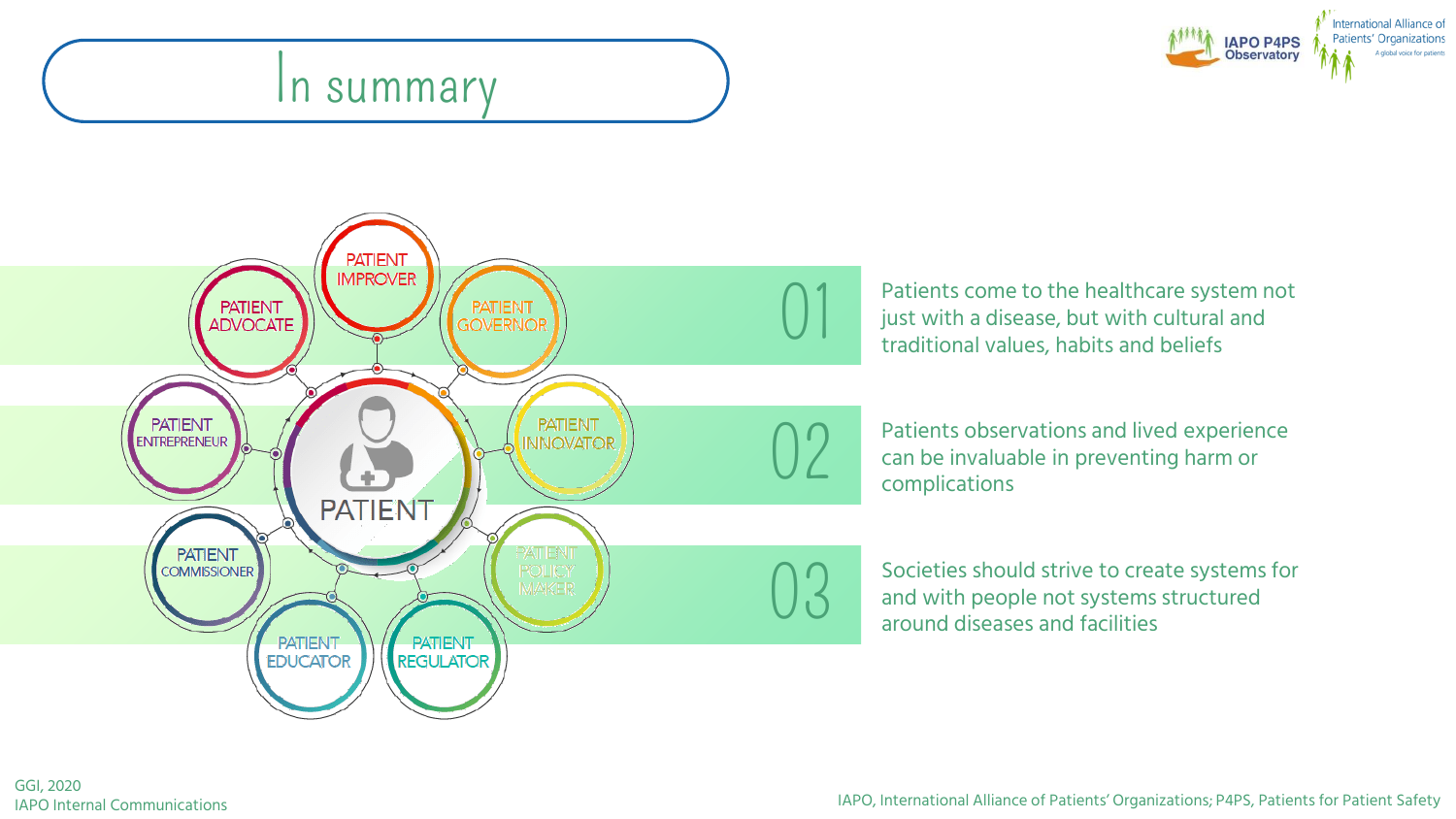#### In summary





**01** Patients come to the healthcare system not<br>just with a disease, but with cultural and<br>traditional values, habits and beliefs just with a disease, but with cultural and traditional values, habits and beliefs

02 Patients observations and lived experience<br>can be invaluable in preventing harm or<br>complications can be invaluable in preventing harm or complications

**03** Societies should strive to create systems for<br>and with people not systems structured<br>around diseases and facilities and with people not systems structured around diseases and facilities